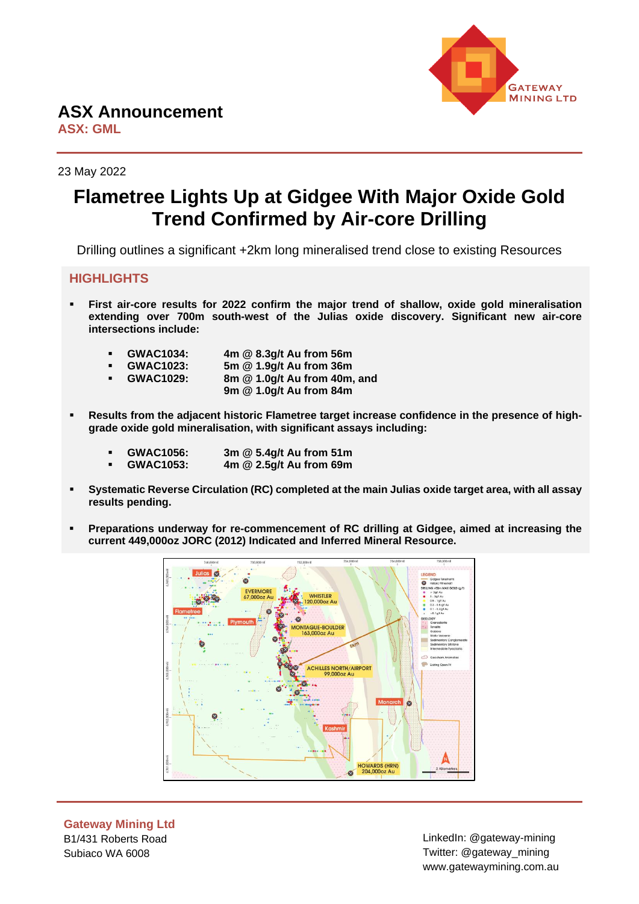

**ASX: GML**

23 May 2022

# **Flametree Lights Up at Gidgee With Major Oxide Gold Trend Confirmed by Air-core Drilling**

Drilling outlines a significant +2km long mineralised trend close to existing Resources

### **HIGHLIGHTS**

▪ **First air-core results for 2022 confirm the major trend of shallow, oxide gold mineralisation extending over 700m south-west of the Julias oxide discovery. Significant new air-core intersections include:**

| <b>GWAC1034:</b> | 4m @ 8.3g/t Au from 56m      |
|------------------|------------------------------|
| <b>GWAC1023:</b> | 5m @ 1.9g/t Au from 36m      |
| <b>GWAC1029:</b> | 8m @ 1.0g/t Au from 40m, and |
|                  | 9m @ 1.0g/t Au from 84m      |

- Results from the adjacent historic Flametree target increase confidence in the presence of high**grade oxide gold mineralisation, with significant assays including:**
	- **GWAC1056: 3m @ 5.4g/t Au from 51m**
	- **GWAC1053: 4m @ 2.5g/t Au from 69m**
- Systematic Reverse Circulation (RC) completed at the main Julias oxide target area, with all assay **results pending.**
- **Preparations underway for re-commencement of RC drilling at Gidgee, aimed at increasing the current 449,000oz JORC (2012) Indicated and Inferred Mineral Resource.**



**Gateway Mining Ltd** B1/431 Roberts Road Subiaco WA 6008

LinkedIn: @gateway-mining Twitter: @gateway\_mining www.gatewaymining.com.au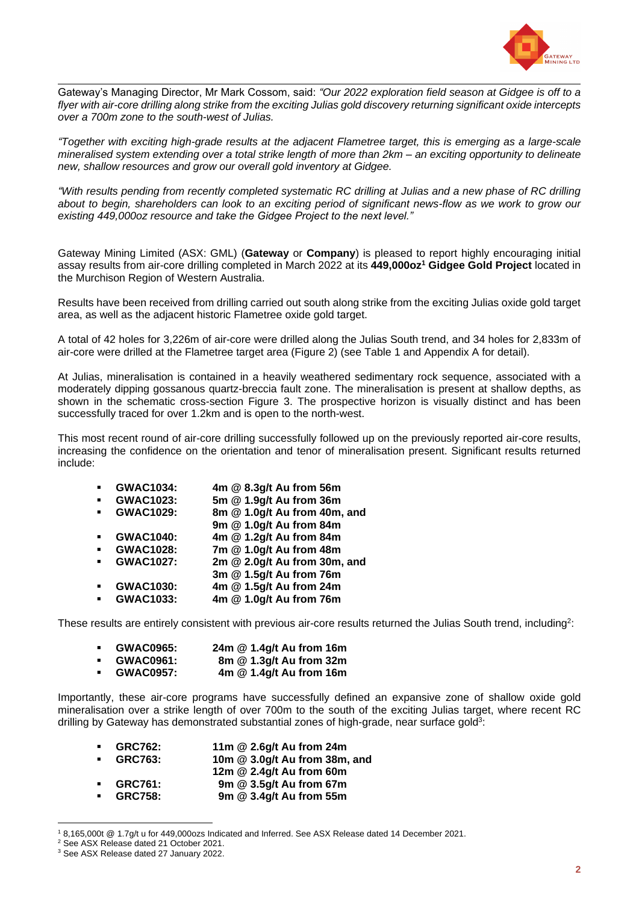

Gateway's Managing Director, Mr Mark Cossom, said: *"Our 2022 exploration field season at Gidgee is off to a flyer with air-core drilling along strike from the exciting Julias gold discovery returning significant oxide intercepts over a 700m zone to the south-west of Julias.* 

*"Together with exciting high-grade results at the adjacent Flametree target, this is emerging as a large-scale mineralised system extending over a total strike length of more than 2km – an exciting opportunity to delineate new, shallow resources and grow our overall gold inventory at Gidgee.* 

*"With results pending from recently completed systematic RC drilling at Julias and a new phase of RC drilling about to begin, shareholders can look to an exciting period of significant news-flow as we work to grow our existing 449,000oz resource and take the Gidgee Project to the next level."*

Gateway Mining Limited (ASX: GML) (**Gateway** or **Company**) is pleased to report highly encouraging initial assay results from air-core drilling completed in March 2022 at its **449,000oz<sup>1</sup> Gidgee Gold Project** located in the Murchison Region of Western Australia.

Results have been received from drilling carried out south along strike from the exciting Julias oxide gold target area, as well as the adjacent historic Flametree oxide gold target.

A total of 42 holes for 3,226m of air-core were drilled along the Julias South trend, and 34 holes for 2,833m of air-core were drilled at the Flametree target area (Figure 2) (see Table 1 and Appendix A for detail).

At Julias, mineralisation is contained in a heavily weathered sedimentary rock sequence, associated with a moderately dipping gossanous quartz-breccia fault zone. The mineralisation is present at shallow depths, as shown in the schematic cross-section Figure 3. The prospective horizon is visually distinct and has been successfully traced for over 1.2km and is open to the north-west.

This most recent round of air-core drilling successfully followed up on the previously reported air-core results, increasing the confidence on the orientation and tenor of mineralisation present. Significant results returned include:

|                | <b>GWAC1034:</b> | 4m @ 8.3g/t Au from 56m      |
|----------------|------------------|------------------------------|
|                | <b>GWAC1023:</b> | 5m @ 1.9g/t Au from 36m      |
| $\blacksquare$ | <b>GWAC1029:</b> | 8m @ 1.0g/t Au from 40m, and |
|                |                  | 9m @ 1.0g/t Au from 84m      |
|                | <b>GWAC1040:</b> | 4m @ 1.2g/t Au from 84m      |
|                | <b>GWAC1028:</b> | 7m @ 1.0g/t Au from 48m      |
|                | <b>GWAC1027:</b> | 2m @ 2.0g/t Au from 30m, and |
|                |                  | 3m @ 1.5g/t Au from 76m      |
|                | <b>GWAC1030:</b> | 4m @ 1.5g/t Au from 24m      |
|                | <b>GWAC1033:</b> | 4m @ 1.0g/t Au from 76m      |

These results are entirely consistent with previous air-core results returned the Julias South trend, including<sup>2</sup>:

| <b>GWAC0965:</b> | 24m @ 1.4g/t Au from 16m |  |
|------------------|--------------------------|--|
|                  |                          |  |

- **GWAC0961: 8m @ 1.3g/t Au from 32m**
- **GWAC0957: 4m @ 1.4g/t Au from 16m**

Importantly, these air-core programs have successfully defined an expansive zone of shallow oxide gold mineralisation over a strike length of over 700m to the south of the exciting Julias target, where recent RC drilling by Gateway has demonstrated substantial zones of high-grade, near surface gold<sup>3</sup>:

| <b>GRC762:</b><br>$\mathbf{r}$   | 11m @ 2.6g/t Au from 24m      |
|----------------------------------|-------------------------------|
| <b>GRC763:</b><br>$\mathbf{r}$   | 10m @ 3.0g/t Au from 38m, and |
|                                  | 12m @ 2.4g/t Au from 60m      |
| <b>GRC761:</b><br>$\blacksquare$ | 9m @ 3.5g/t Au from 67m       |
| <b>GRC758:</b>                   | 9m @ 3.4g/t Au from 55m       |

<sup>1</sup> 8,165,000t @ 1.7g/t u for 449,000ozs Indicated and Inferred. See ASX Release dated 14 December 2021.

<sup>2</sup> See ASX Release dated 21 October 2021.

<sup>3</sup> See ASX Release dated 27 January 2022.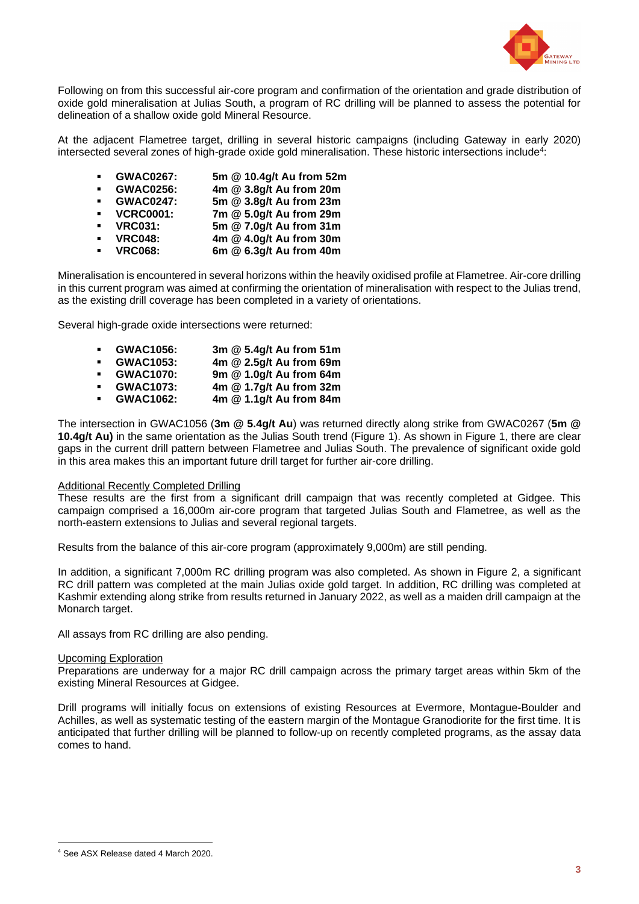

Following on from this successful air-core program and confirmation of the orientation and grade distribution of oxide gold mineralisation at Julias South, a program of RC drilling will be planned to assess the potential for delineation of a shallow oxide gold Mineral Resource.

At the adjacent Flametree target, drilling in several historic campaigns (including Gateway in early 2020) intersected several zones of high-grade oxide gold mineralisation. These historic intersections include<sup>4</sup>:

- **GWAC0267: 5m @ 10.4g/t Au from 52m**
- **GWAC0256: 4m @ 3.8g/t Au from 20m**
- **GWAC0247: 5m @ 3.8g/t Au from 23m**
- **VCRC0001: 7m @ 5.0g/t Au from 29m** ▪ **VRC031: 5m @ 7.0g/t Au from 31m**
	- **VRC048: 4m @ 4.0g/t Au from 30m**
- **VRC068: 6m @ 6.3g/t Au from 40m**
- 

Mineralisation is encountered in several horizons within the heavily oxidised profile at Flametree. Air-core drilling in this current program was aimed at confirming the orientation of mineralisation with respect to the Julias trend, as the existing drill coverage has been completed in a variety of orientations.

Several high-grade oxide intersections were returned:

- **GWAC1056: 3m @ 5.4g/t Au from 51m** ▪ **GWAC1053: 4m @ 2.5g/t Au from 69m** ▪ **GWAC1070: 9m @ 1.0g/t Au from 64m** ▪ **GWAC1073: 4m @ 1.7g/t Au from 32m**
- **GWAC1062: 4m @ 1.1g/t Au from 84m**

The intersection in GWAC1056 (**3m @ 5.4g/t Au**) was returned directly along strike from GWAC0267 (**5m @ 10.4g/t Au)** in the same orientation as the Julias South trend (Figure 1). As shown in Figure 1, there are clear gaps in the current drill pattern between Flametree and Julias South. The prevalence of significant oxide gold in this area makes this an important future drill target for further air-core drilling.

#### Additional Recently Completed Drilling

These results are the first from a significant drill campaign that was recently completed at Gidgee. This campaign comprised a 16,000m air-core program that targeted Julias South and Flametree, as well as the north-eastern extensions to Julias and several regional targets.

Results from the balance of this air-core program (approximately 9,000m) are still pending.

In addition, a significant 7,000m RC drilling program was also completed. As shown in Figure 2, a significant RC drill pattern was completed at the main Julias oxide gold target. In addition, RC drilling was completed at Kashmir extending along strike from results returned in January 2022, as well as a maiden drill campaign at the Monarch target.

All assays from RC drilling are also pending.

#### Upcoming Exploration

Preparations are underway for a major RC drill campaign across the primary target areas within 5km of the existing Mineral Resources at Gidgee.

Drill programs will initially focus on extensions of existing Resources at Evermore, Montague-Boulder and Achilles, as well as systematic testing of the eastern margin of the Montague Granodiorite for the first time. It is anticipated that further drilling will be planned to follow-up on recently completed programs, as the assay data comes to hand.

<sup>4</sup> See ASX Release dated 4 March 2020.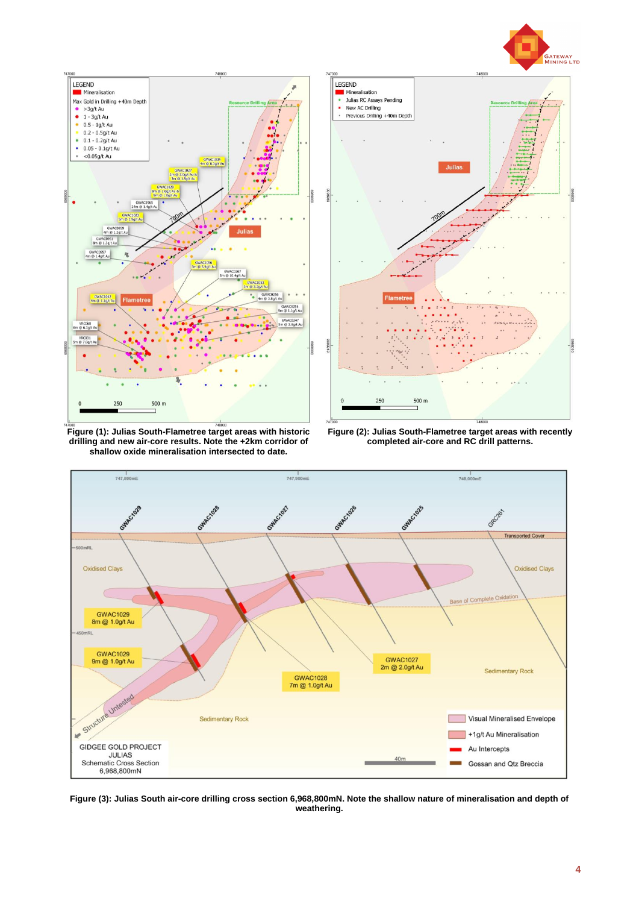



**Figure (1): Julias South-Flametree target areas with historic drilling and new air-core results. Note the +2km corridor of shallow oxide mineralisation intersected to date.**



**Figure (2): Julias South-Flametree target areas with recently completed air-core and RC drill patterns.**



**Figure (3): Julias South air-core drilling cross section 6,968,800mN. Note the shallow nature of mineralisation and depth of weathering.**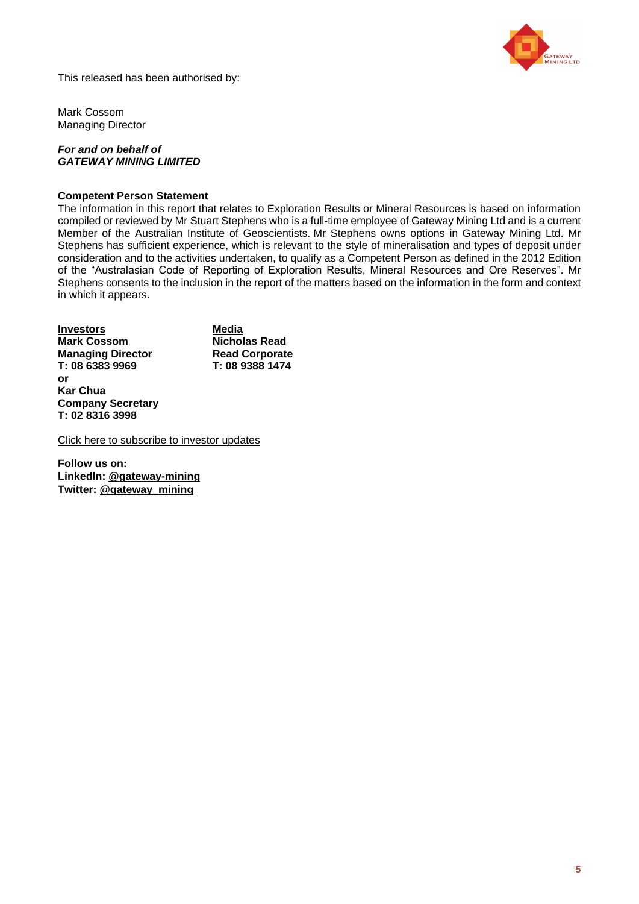

This released has been authorised by:

Mark Cossom Managing Director

### *For and on behalf of GATEWAY MINING LIMITED*

### **Competent Person Statement**

The information in this report that relates to Exploration Results or Mineral Resources is based on information compiled or reviewed by Mr Stuart Stephens who is a full-time employee of Gateway Mining Ltd and is a current Member of the Australian Institute of Geoscientists. Mr Stephens owns options in Gateway Mining Ltd. Mr Stephens has sufficient experience, which is relevant to the style of mineralisation and types of deposit under consideration and to the activities undertaken, to qualify as a Competent Person as defined in the 2012 Edition of the "Australasian Code of Reporting of Exploration Results, Mineral Resources and Ore Reserves". Mr Stephens consents to the inclusion in the report of the matters based on the information in the form and context in which it appears.

| <b>Investors</b>         | Media                 |
|--------------------------|-----------------------|
| <b>Mark Cossom</b>       | Nicholas Read         |
| <b>Managing Director</b> | <b>Read Corporate</b> |
| T: 08 6383 9969          | T: 08 9388 1474       |
| or                       |                       |
| <b>Kar Chua</b>          |                       |
| <b>Company Secretary</b> |                       |
| T: 02 8316 3998          |                       |

[Click here to subscribe to investor updates](http://eepurl.com/hHPfxr)

**Follow us on: LinkedIn: [@gateway-mining](https://www.linkedin.com/company/7726601/admin/) Twitter: [@gateway\\_mining](https://twitter.com/gateway_mining)**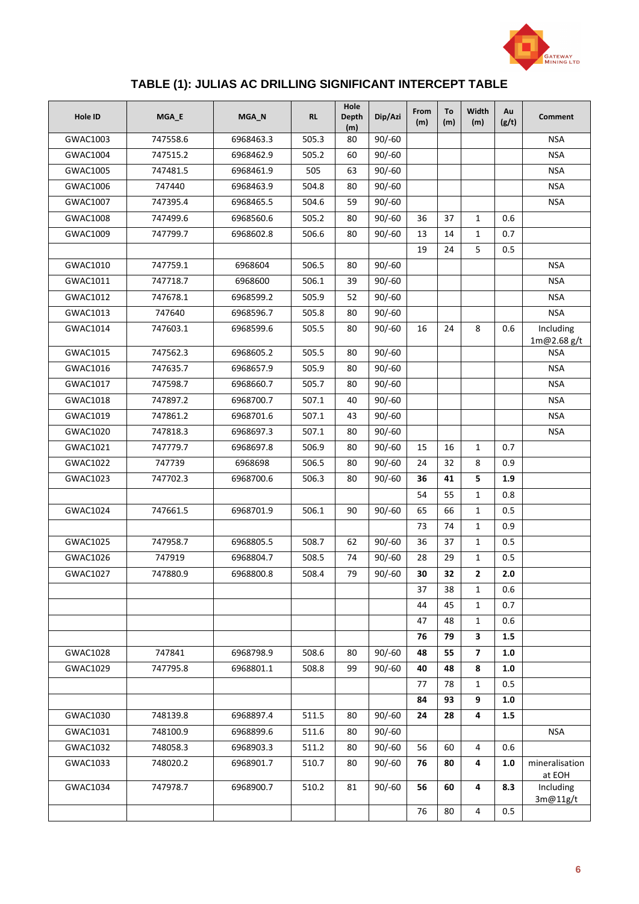

# **TABLE (1): JULIAS AC DRILLING SIGNIFICANT INTERCEPT TABLE**

| <b>Hole ID</b> | MGA_E    | MGA_N     | <b>RL</b> | Hole<br><b>Depth</b><br>(m) | Dip/Azi  | From<br>(m) | To<br>(m) | Width<br>(m)   | Au<br>(g/t) | <b>Comment</b>           |
|----------------|----------|-----------|-----------|-----------------------------|----------|-------------|-----------|----------------|-------------|--------------------------|
| GWAC1003       | 747558.6 | 6968463.3 | 505.3     | 80                          | $90/-60$ |             |           |                |             | <b>NSA</b>               |
| GWAC1004       | 747515.2 | 6968462.9 | 505.2     | 60                          | $90/-60$ |             |           |                |             | <b>NSA</b>               |
| GWAC1005       | 747481.5 | 6968461.9 | 505       | 63                          | $90/-60$ |             |           |                |             | <b>NSA</b>               |
| GWAC1006       | 747440   | 6968463.9 | 504.8     | 80                          | $90/-60$ |             |           |                |             | <b>NSA</b>               |
| GWAC1007       | 747395.4 | 6968465.5 | 504.6     | 59                          | $90/-60$ |             |           |                |             | <b>NSA</b>               |
| GWAC1008       | 747499.6 | 6968560.6 | 505.2     | 80                          | $90/-60$ | 36          | 37        | $\mathbf{1}$   | 0.6         |                          |
| GWAC1009       | 747799.7 | 6968602.8 | 506.6     | 80                          | $90/-60$ | 13          | 14        | $\mathbf{1}$   | 0.7         |                          |
|                |          |           |           |                             |          | 19          | 24        | 5              | 0.5         |                          |
| GWAC1010       | 747759.1 | 6968604   | 506.5     | 80                          | $90/-60$ |             |           |                |             | <b>NSA</b>               |
| GWAC1011       | 747718.7 | 6968600   | 506.1     | 39                          | $90/-60$ |             |           |                |             | <b>NSA</b>               |
| GWAC1012       | 747678.1 | 6968599.2 | 505.9     | 52                          | $90/-60$ |             |           |                |             | <b>NSA</b>               |
| GWAC1013       | 747640   | 6968596.7 | 505.8     | 80                          | $90/-60$ |             |           |                |             | <b>NSA</b>               |
| GWAC1014       | 747603.1 | 6968599.6 | 505.5     | 80                          | $90/-60$ | 16          | 24        | 8              | 0.6         | Including<br>1m@2.68g/t  |
| GWAC1015       | 747562.3 | 6968605.2 | 505.5     | 80                          | $90/-60$ |             |           |                |             | <b>NSA</b>               |
| GWAC1016       | 747635.7 | 6968657.9 | 505.9     | 80                          | $90/-60$ |             |           |                |             | <b>NSA</b>               |
| GWAC1017       | 747598.7 | 6968660.7 | 505.7     | 80                          | $90/-60$ |             |           |                |             | <b>NSA</b>               |
| GWAC1018       | 747897.2 | 6968700.7 | 507.1     | 40                          | $90/-60$ |             |           |                |             | <b>NSA</b>               |
| GWAC1019       | 747861.2 | 6968701.6 | 507.1     | 43                          | $90/-60$ |             |           |                |             | <b>NSA</b>               |
| GWAC1020       | 747818.3 | 6968697.3 | 507.1     | 80                          | $90/-60$ |             |           |                |             | <b>NSA</b>               |
| GWAC1021       | 747779.7 | 6968697.8 | 506.9     | 80                          | $90/-60$ | 15          | 16        | $\mathbf{1}$   | 0.7         |                          |
| GWAC1022       | 747739   | 6968698   | 506.5     | 80                          | $90/-60$ | 24          | 32        | 8              | 0.9         |                          |
| GWAC1023       | 747702.3 | 6968700.6 | 506.3     | 80                          | $90/-60$ | 36          | 41        | 5              | 1.9         |                          |
|                |          |           |           |                             |          | 54          | 55        | $\mathbf{1}$   | 0.8         |                          |
| GWAC1024       | 747661.5 | 6968701.9 | 506.1     | 90                          | $90/-60$ | 65          | 66        | $\mathbf{1}$   | 0.5         |                          |
|                |          |           |           |                             |          | 73          | 74        | $\mathbf{1}$   | 0.9         |                          |
| GWAC1025       | 747958.7 | 6968805.5 | 508.7     | 62                          | $90/-60$ | 36          | 37        | $\mathbf{1}$   | 0.5         |                          |
| GWAC1026       | 747919   | 6968804.7 | 508.5     | 74                          | $90/-60$ | 28          | 29        | $\mathbf{1}$   | 0.5         |                          |
| GWAC1027       | 747880.9 | 6968800.8 | 508.4     | 79                          | $90/-60$ | 30          | 32        | $\mathbf{2}$   | 2.0         |                          |
|                |          |           |           |                             |          | 37          | 38        | $\mathbf{1}$   | 0.6         |                          |
|                |          |           |           |                             |          | 44          | 45        | $\mathbf{1}$   | 0.7         |                          |
|                |          |           |           |                             |          | 47          | 48        | $\mathbf{1}$   | 0.6         |                          |
|                |          |           |           |                             |          | 76          | 79        | 3              | 1.5         |                          |
| GWAC1028       | 747841   | 6968798.9 | 508.6     | 80                          | $90/-60$ | 48          | 55        | $\overline{ }$ | 1.0         |                          |
| GWAC1029       | 747795.8 | 6968801.1 | 508.8     | 99                          | $90/-60$ | 40          | 48        | 8              | 1.0         |                          |
|                |          |           |           |                             |          | 77          | 78        | $\mathbf{1}$   | 0.5         |                          |
|                |          |           |           |                             |          | 84          | 93        | 9              | 1.0         |                          |
| GWAC1030       | 748139.8 | 6968897.4 | 511.5     | 80                          | $90/-60$ | 24          | 28        | 4              | 1.5         |                          |
| GWAC1031       | 748100.9 | 6968899.6 | 511.6     | 80                          | $90/-60$ |             |           |                |             | <b>NSA</b>               |
| GWAC1032       | 748058.3 | 6968903.3 | 511.2     | 80                          | $90/-60$ | 56          | 60        | 4              | 0.6         |                          |
| GWAC1033       | 748020.2 | 6968901.7 | 510.7     | 80                          | $90/-60$ | 76          | 80        | 4              | 1.0         | mineralisation<br>at EOH |
| GWAC1034       | 747978.7 | 6968900.7 | 510.2     | 81                          | $90/-60$ | 56          | 60        | 4              | 8.3         | Including<br>3m@11g/t    |
|                |          |           |           |                             |          | 76          | 80        | 4              | 0.5         |                          |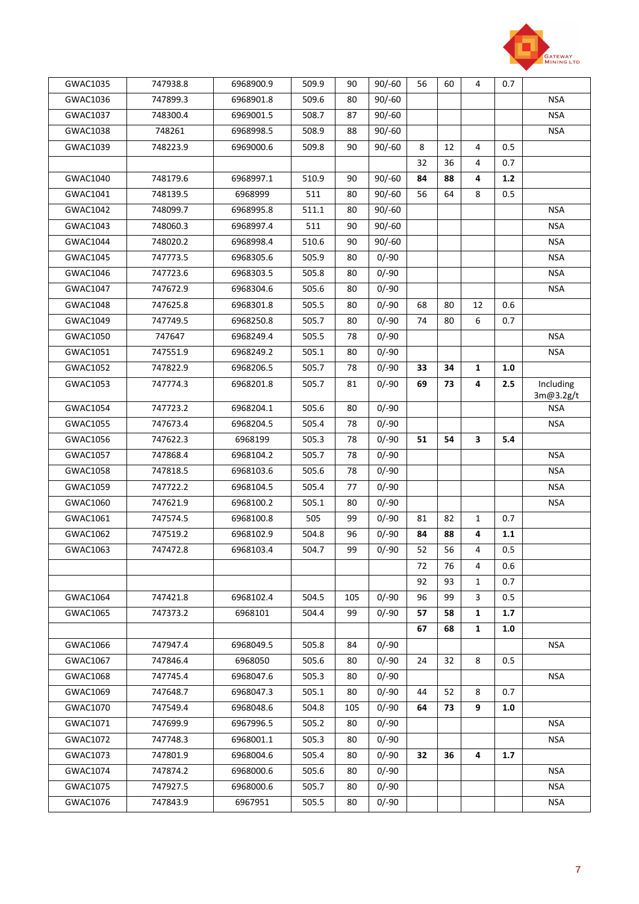

| GWAC1035 | 747938.8 | 6968900.9 | 509.9 | 90  | $90/-60$ | 56 | 60 | 4            | 0.7   |                        |
|----------|----------|-----------|-------|-----|----------|----|----|--------------|-------|------------------------|
| GWAC1036 | 747899.3 | 6968901.8 | 509.6 | 80  | $90/-60$ |    |    |              |       | <b>NSA</b>             |
| GWAC1037 | 748300.4 | 6969001.5 | 508.7 | 87  | $90/-60$ |    |    |              |       | <b>NSA</b>             |
| GWAC1038 | 748261   | 6968998.5 | 508.9 | 88  | $90/-60$ |    |    |              |       | <b>NSA</b>             |
| GWAC1039 | 748223.9 | 6969000.6 | 509.8 | 90  | $90/-60$ | 8  | 12 | 4            | 0.5   |                        |
|          |          |           |       |     |          | 32 | 36 | 4            | 0.7   |                        |
| GWAC1040 | 748179.6 | 6968997.1 | 510.9 | 90  | $90/-60$ | 84 | 88 | 4            | $1.2$ |                        |
| GWAC1041 | 748139.5 | 6968999   | 511   | 80  | $90/-60$ | 56 | 64 | 8            | 0.5   |                        |
| GWAC1042 | 748099.7 | 6968995.8 | 511.1 | 80  | $90/-60$ |    |    |              |       | <b>NSA</b>             |
| GWAC1043 | 748060.3 | 6968997.4 | 511   | 90  | $90/-60$ |    |    |              |       | <b>NSA</b>             |
| GWAC1044 | 748020.2 | 6968998.4 | 510.6 | 90  | $90/-60$ |    |    |              |       | <b>NSA</b>             |
| GWAC1045 | 747773.5 | 6968305.6 | 505.9 | 80  | $0/-90$  |    |    |              |       | <b>NSA</b>             |
| GWAC1046 | 747723.6 | 6968303.5 | 505.8 | 80  | $0/-90$  |    |    |              |       | <b>NSA</b>             |
| GWAC1047 | 747672.9 | 6968304.6 | 505.6 | 80  | $0/-90$  |    |    |              |       | <b>NSA</b>             |
| GWAC1048 | 747625.8 | 6968301.8 | 505.5 | 80  | $0/-90$  | 68 | 80 | 12           | 0.6   |                        |
| GWAC1049 | 747749.5 | 6968250.8 | 505.7 | 80  | $0/-90$  | 74 | 80 | 6            | 0.7   |                        |
| GWAC1050 | 747647   | 6968249.4 | 505.5 | 78  | $0/-90$  |    |    |              |       | <b>NSA</b>             |
| GWAC1051 | 747551.9 | 6968249.2 | 505.1 | 80  | $0/-90$  |    |    |              |       | NSA                    |
| GWAC1052 | 747822.9 | 6968206.5 | 505.7 | 78  | $0/-90$  | 33 | 34 | 1            | 1.0   |                        |
| GWAC1053 | 747774.3 | 6968201.8 | 505.7 | 81  | $0/-90$  | 69 | 73 | 4            | 2.5   | Including<br>3m@3.2g/t |
| GWAC1054 | 747723.2 | 6968204.1 | 505.6 | 80  | $0/-90$  |    |    |              |       | NSA                    |
| GWAC1055 | 747673.4 | 6968204.5 | 505.4 | 78  | $0/-90$  |    |    |              |       | <b>NSA</b>             |
| GWAC1056 | 747622.3 | 6968199   | 505.3 | 78  | $0/-90$  | 51 | 54 | 3            | 5.4   |                        |
| GWAC1057 | 747868.4 | 6968104.2 | 505.7 | 78  | $0/-90$  |    |    |              |       | <b>NSA</b>             |
| GWAC1058 | 747818.5 | 6968103.6 | 505.6 | 78  | $0/-90$  |    |    |              |       | <b>NSA</b>             |
| GWAC1059 | 747722.2 | 6968104.5 | 505.4 | 77  | $0/-90$  |    |    |              |       | <b>NSA</b>             |
| GWAC1060 | 747621.9 | 6968100.2 | 505.1 | 80  | $0/-90$  |    |    |              |       | <b>NSA</b>             |
| GWAC1061 | 747574.5 | 6968100.8 | 505   | 99  | $0/-90$  | 81 | 82 | $\mathbf{1}$ | 0.7   |                        |
| GWAC1062 | 747519.2 | 6968102.9 | 504.8 | 96  | $0/-90$  | 84 | 88 | 4            | 1.1   |                        |
| GWAC1063 | 747472.8 | 6968103.4 | 504.7 | 99  | $0/-90$  | 52 | 56 | 4            | 0.5   |                        |
|          |          |           |       |     |          | 72 | 76 | 4            | 0.6   |                        |
|          |          |           |       |     |          | 92 | 93 | $\mathbf{1}$ | 0.7   |                        |
| GWAC1064 | 747421.8 | 6968102.4 | 504.5 | 105 | $0/-90$  | 96 | 99 | 3            | 0.5   |                        |
| GWAC1065 | 747373.2 | 6968101   | 504.4 | 99  | $0/-90$  | 57 | 58 | 1            | 1.7   |                        |
|          |          |           |       |     |          | 67 | 68 | $\mathbf{1}$ | 1.0   |                        |
| GWAC1066 | 747947.4 | 6968049.5 | 505.8 | 84  | $0/-90$  |    |    |              |       | <b>NSA</b>             |
| GWAC1067 | 747846.4 | 6968050   | 505.6 | 80  | $0/-90$  | 24 | 32 | 8            | 0.5   |                        |
| GWAC1068 | 747745.4 | 6968047.6 | 505.3 | 80  | $0/-90$  |    |    |              |       | <b>NSA</b>             |
| GWAC1069 | 747648.7 | 6968047.3 | 505.1 | 80  | $0/-90$  | 44 | 52 | 8            | 0.7   |                        |
| GWAC1070 | 747549.4 | 6968048.6 | 504.8 | 105 | $0/-90$  | 64 | 73 | 9            | 1.0   |                        |
| GWAC1071 | 747699.9 | 6967996.5 | 505.2 | 80  | $0/-90$  |    |    |              |       | <b>NSA</b>             |
| GWAC1072 | 747748.3 | 6968001.1 | 505.3 | 80  | $0/-90$  |    |    |              |       | <b>NSA</b>             |
| GWAC1073 | 747801.9 | 6968004.6 | 505.4 | 80  | $0/-90$  | 32 | 36 | 4            | 1.7   |                        |
| GWAC1074 | 747874.2 | 6968000.6 | 505.6 | 80  | $0/-90$  |    |    |              |       | NSA                    |
| GWAC1075 | 747927.5 | 6968000.6 | 505.7 | 80  | $0/-90$  |    |    |              |       | NSA                    |
| GWAC1076 | 747843.9 | 6967951   | 505.5 | 80  | $0/-90$  |    |    |              |       | <b>NSA</b>             |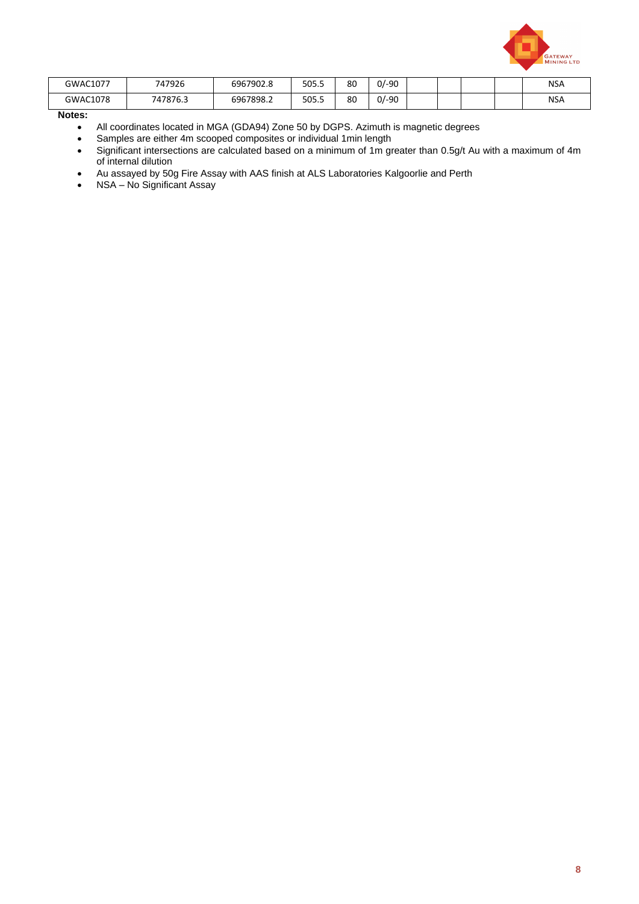

| GWAC1077 | 747926   | 6967902.8 | 505.5 | 80 | $0/-90$ |  |  | <b>NSA</b> |
|----------|----------|-----------|-------|----|---------|--|--|------------|
| GWAC1078 | 747876.3 | 6967898.2 | 505.5 | 80 | $0/-90$ |  |  | <b>NSA</b> |

**Notes:**

- All coordinates located in MGA (GDA94) Zone 50 by DGPS. Azimuth is magnetic degrees
- Samples are either 4m scooped composites or individual 1min length
- Significant intersections are calculated based on a minimum of 1m greater than 0.5g/t Au with a maximum of 4m of internal dilution
- Au assayed by 50g Fire Assay with AAS finish at ALS Laboratories Kalgoorlie and Perth
- NSA No Significant Assay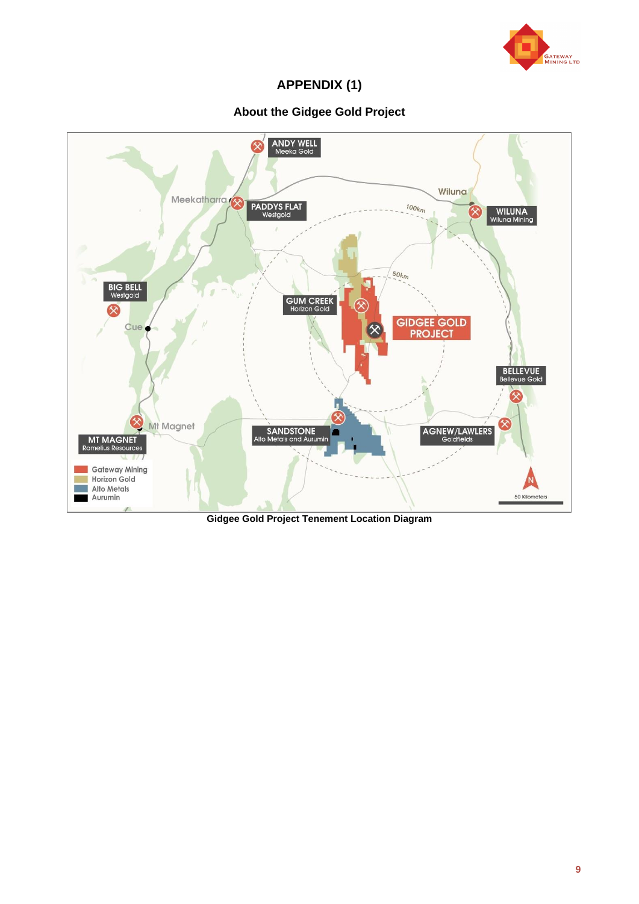

**APPENDIX (1)**

## **About the Gidgee Gold Project**



**Gidgee Gold Project Tenement Location Diagram**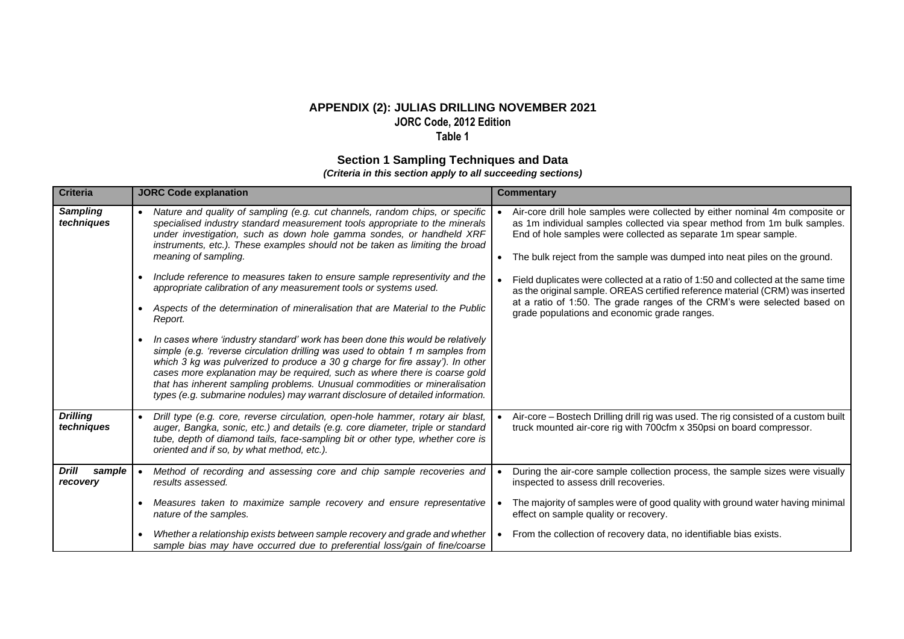### **APPENDIX (2): JULIAS DRILLING NOVEMBER 2021 JORC Code, 2012 Edition Table 1**

### **Section 1 Sampling Techniques and Data**

*(Criteria in this section apply to all succeeding sections)*

| <b>Criteria</b>                    | <b>JORC Code explanation</b>                                                                                                                                                                                                                                                                                                                                                                                                                                                                    | <b>Commentary</b>                                                                                                                                                                                                                                                                                         |
|------------------------------------|-------------------------------------------------------------------------------------------------------------------------------------------------------------------------------------------------------------------------------------------------------------------------------------------------------------------------------------------------------------------------------------------------------------------------------------------------------------------------------------------------|-----------------------------------------------------------------------------------------------------------------------------------------------------------------------------------------------------------------------------------------------------------------------------------------------------------|
| <b>Sampling</b><br>techniques      | Nature and quality of sampling (e.g. cut channels, random chips, or specific<br>$\bullet$<br>specialised industry standard measurement tools appropriate to the minerals<br>under investigation, such as down hole gamma sondes, or handheld XRF<br>instruments, etc.). These examples should not be taken as limiting the broad<br>meaning of sampling.                                                                                                                                        | Air-core drill hole samples were collected by either nominal 4m composite or<br>as 1m individual samples collected via spear method from 1m bulk samples.<br>End of hole samples were collected as separate 1m spear sample.<br>The bulk reject from the sample was dumped into neat piles on the ground. |
|                                    | Include reference to measures taken to ensure sample representivity and the<br>appropriate calibration of any measurement tools or systems used.                                                                                                                                                                                                                                                                                                                                                | Field duplicates were collected at a ratio of 1:50 and collected at the same time<br>as the original sample. OREAS certified reference material (CRM) was inserted                                                                                                                                        |
|                                    | Aspects of the determination of mineralisation that are Material to the Public<br>$\bullet$<br>Report.                                                                                                                                                                                                                                                                                                                                                                                          | at a ratio of 1:50. The grade ranges of the CRM's were selected based on<br>grade populations and economic grade ranges.                                                                                                                                                                                  |
|                                    | In cases where 'industry standard' work has been done this would be relatively<br>simple (e.g. 'reverse circulation drilling was used to obtain 1 m samples from<br>which 3 kg was pulverized to produce a 30 g charge for fire assay'). In other<br>cases more explanation may be required, such as where there is coarse gold<br>that has inherent sampling problems. Unusual commodities or mineralisation<br>types (e.g. submarine nodules) may warrant disclosure of detailed information. |                                                                                                                                                                                                                                                                                                           |
| <b>Drilling</b><br>techniques      | Drill type (e.g. core, reverse circulation, open-hole hammer, rotary air blast,<br>$\bullet$<br>auger, Bangka, sonic, etc.) and details (e.g. core diameter, triple or standard<br>tube, depth of diamond tails, face-sampling bit or other type, whether core is<br>oriented and if so, by what method, etc.).                                                                                                                                                                                 | Air-core - Bostech Drilling drill rig was used. The rig consisted of a custom built<br>truck mounted air-core rig with 700cfm x 350psi on board compressor.                                                                                                                                               |
| <b>Drill</b><br>sample<br>recovery | Method of recording and assessing core and chip sample recoveries and<br>results assessed.                                                                                                                                                                                                                                                                                                                                                                                                      | During the air-core sample collection process, the sample sizes were visually<br>inspected to assess drill recoveries.                                                                                                                                                                                    |
|                                    | Measures taken to maximize sample recovery and ensure representative<br>nature of the samples.                                                                                                                                                                                                                                                                                                                                                                                                  | The majority of samples were of good quality with ground water having minimal<br>effect on sample quality or recovery.                                                                                                                                                                                    |
|                                    | Whether a relationship exists between sample recovery and grade and whether<br>sample bias may have occurred due to preferential loss/gain of fine/coarse                                                                                                                                                                                                                                                                                                                                       | From the collection of recovery data, no identifiable bias exists.                                                                                                                                                                                                                                        |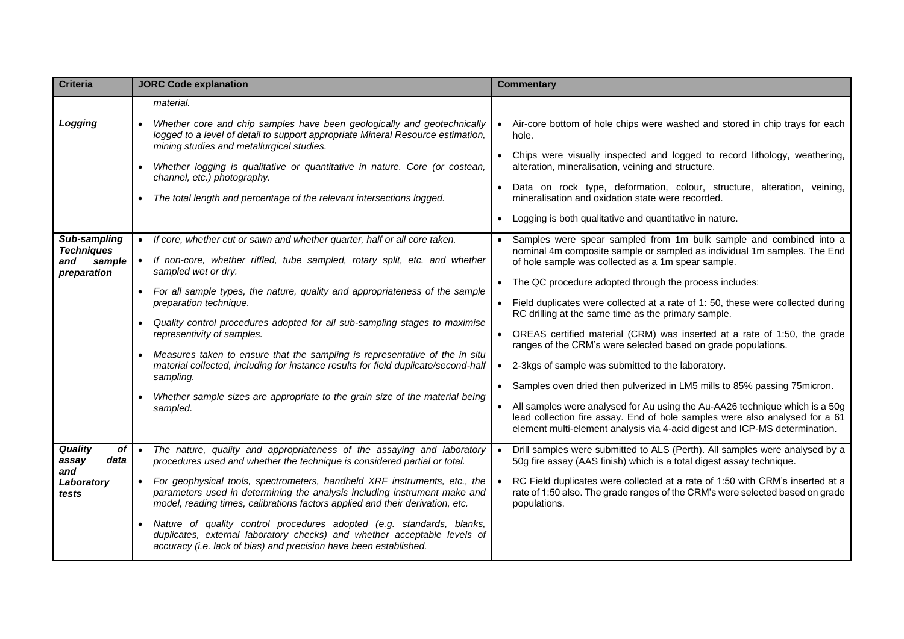| <b>Criteria</b>                                                   | <b>JORC Code explanation</b>                                                                                                                                                                                                                                                                                                                                                                                                                                                                                                                                                                                                                                                                       | <b>Commentary</b>                                                                                                                                                                                                                                                                                                                                                                                                                                                                                                                                                                                                                                                                                                                                                                                                                                                                                                                                      |  |  |  |  |
|-------------------------------------------------------------------|----------------------------------------------------------------------------------------------------------------------------------------------------------------------------------------------------------------------------------------------------------------------------------------------------------------------------------------------------------------------------------------------------------------------------------------------------------------------------------------------------------------------------------------------------------------------------------------------------------------------------------------------------------------------------------------------------|--------------------------------------------------------------------------------------------------------------------------------------------------------------------------------------------------------------------------------------------------------------------------------------------------------------------------------------------------------------------------------------------------------------------------------------------------------------------------------------------------------------------------------------------------------------------------------------------------------------------------------------------------------------------------------------------------------------------------------------------------------------------------------------------------------------------------------------------------------------------------------------------------------------------------------------------------------|--|--|--|--|
|                                                                   | material.                                                                                                                                                                                                                                                                                                                                                                                                                                                                                                                                                                                                                                                                                          |                                                                                                                                                                                                                                                                                                                                                                                                                                                                                                                                                                                                                                                                                                                                                                                                                                                                                                                                                        |  |  |  |  |
| Logging                                                           | Whether core and chip samples have been geologically and geotechnically<br>logged to a level of detail to support appropriate Mineral Resource estimation,<br>mining studies and metallurgical studies.<br>Whether logging is qualitative or quantitative in nature. Core (or costean,<br>channel, etc.) photography.<br>The total length and percentage of the relevant intersections logged.                                                                                                                                                                                                                                                                                                     | Air-core bottom of hole chips were washed and stored in chip trays for each<br>hole.<br>• Chips were visually inspected and logged to record lithology, weathering,<br>alteration, mineralisation, veining and structure.<br>Data on rock type, deformation, colour, structure, alteration, veining,<br>mineralisation and oxidation state were recorded.<br>• Logging is both qualitative and quantitative in nature.                                                                                                                                                                                                                                                                                                                                                                                                                                                                                                                                 |  |  |  |  |
| Sub-sampling<br><b>Techniques</b><br>sample<br>and<br>preparation | • If core, whether cut or sawn and whether quarter, half or all core taken.<br>If non-core, whether riffled, tube sampled, rotary split, etc. and whether<br>$\bullet$<br>sampled wet or dry.<br>• For all sample types, the nature, quality and appropriateness of the sample<br>preparation technique.<br>Quality control procedures adopted for all sub-sampling stages to maximise<br>representivity of samples.<br>Measures taken to ensure that the sampling is representative of the in situ<br>material collected, including for instance results for field duplicate/second-half<br>sampling.<br>Whether sample sizes are appropriate to the grain size of the material being<br>sampled. | Samples were spear sampled from 1m bulk sample and combined into a<br>nominal 4m composite sample or sampled as individual 1m samples. The End<br>of hole sample was collected as a 1m spear sample.<br>• The QC procedure adopted through the process includes:<br>Field duplicates were collected at a rate of 1: 50, these were collected during<br>RC drilling at the same time as the primary sample.<br>• OREAS certified material (CRM) was inserted at a rate of 1:50, the grade<br>ranges of the CRM's were selected based on grade populations.<br>2-3kgs of sample was submitted to the laboratory.<br>$\bullet$<br>• Samples oven dried then pulverized in LM5 mills to 85% passing 75 micron.<br>All samples were analysed for Au using the Au-AA26 technique which is a 50g<br>lead collection fire assay. End of hole samples were also analysed for a 61<br>element multi-element analysis via 4-acid digest and ICP-MS determination. |  |  |  |  |
| Quality<br>οf<br>assay<br>data<br>and<br>Laboratory<br>tests      | The nature, quality and appropriateness of the assaying and laboratory<br>procedures used and whether the technique is considered partial or total.<br>For geophysical tools, spectrometers, handheld XRF instruments, etc., the<br>$\bullet$<br>parameters used in determining the analysis including instrument make and<br>model, reading times, calibrations factors applied and their derivation, etc.<br>Nature of quality control procedures adopted (e.g. standards, blanks,<br>duplicates, external laboratory checks) and whether acceptable levels of<br>accuracy (i.e. lack of bias) and precision have been established.                                                              | Drill samples were submitted to ALS (Perth). All samples were analysed by a<br>50g fire assay (AAS finish) which is a total digest assay technique.<br>RC Field duplicates were collected at a rate of 1:50 with CRM's inserted at a<br>$\bullet$<br>rate of 1:50 also. The grade ranges of the CRM's were selected based on grade<br>populations.                                                                                                                                                                                                                                                                                                                                                                                                                                                                                                                                                                                                     |  |  |  |  |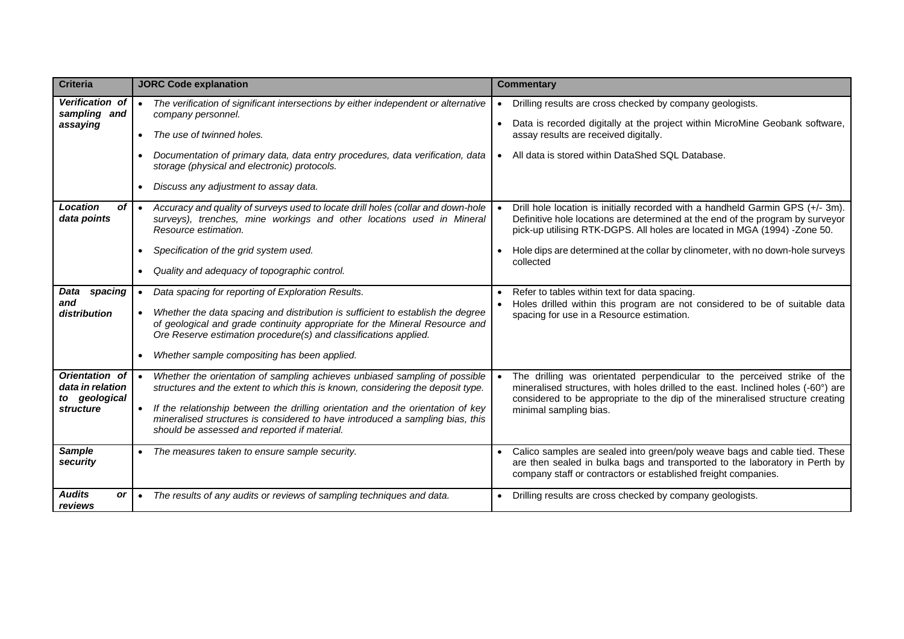| <b>Criteria</b>                                     |           | <b>JORC Code explanation</b>                                                                                                                                                                                                       |           | <b>Commentary</b>                                                                                                                                                                                                                              |
|-----------------------------------------------------|-----------|------------------------------------------------------------------------------------------------------------------------------------------------------------------------------------------------------------------------------------|-----------|------------------------------------------------------------------------------------------------------------------------------------------------------------------------------------------------------------------------------------------------|
| Verification of<br>sampling and                     | $\bullet$ | The verification of significant intersections by either independent or alternative<br>company personnel.                                                                                                                           | $\bullet$ | Drilling results are cross checked by company geologists.                                                                                                                                                                                      |
| assaying                                            |           | The use of twinned holes.                                                                                                                                                                                                          |           | Data is recorded digitally at the project within MicroMine Geobank software,<br>assay results are received digitally.                                                                                                                          |
|                                                     |           | Documentation of primary data, data entry procedures, data verification, data<br>storage (physical and electronic) protocols.                                                                                                      |           | All data is stored within DataShed SQL Database.                                                                                                                                                                                               |
|                                                     | $\bullet$ | Discuss any adjustment to assay data.                                                                                                                                                                                              |           |                                                                                                                                                                                                                                                |
| Location<br>οf<br>data points                       |           | Accuracy and quality of surveys used to locate drill holes (collar and down-hole<br>surveys), trenches, mine workings and other locations used in Mineral<br>Resource estimation.                                                  |           | Drill hole location is initially recorded with a handheld Garmin GPS (+/-3m).<br>Definitive hole locations are determined at the end of the program by surveyor<br>pick-up utilising RTK-DGPS. All holes are located in MGA (1994) -Zone 50.   |
|                                                     | $\bullet$ | Specification of the grid system used.                                                                                                                                                                                             |           | Hole dips are determined at the collar by clinometer, with no down-hole surveys<br>collected                                                                                                                                                   |
|                                                     | $\bullet$ | Quality and adequacy of topographic control.                                                                                                                                                                                       |           |                                                                                                                                                                                                                                                |
| spacing<br>Data<br>and                              | $\bullet$ | Data spacing for reporting of Exploration Results.                                                                                                                                                                                 |           | Refer to tables within text for data spacing.<br>Holes drilled within this program are not considered to be of suitable data                                                                                                                   |
| distribution                                        |           | Whether the data spacing and distribution is sufficient to establish the degree<br>of geological and grade continuity appropriate for the Mineral Resource and<br>Ore Reserve estimation procedure(s) and classifications applied. |           | spacing for use in a Resource estimation.                                                                                                                                                                                                      |
|                                                     |           | Whether sample compositing has been applied.                                                                                                                                                                                       |           |                                                                                                                                                                                                                                                |
| Orientation of<br>data in relation<br>to geological |           | Whether the orientation of sampling achieves unbiased sampling of possible<br>structures and the extent to which this is known, considering the deposit type.                                                                      |           | The drilling was orientated perpendicular to the perceived strike of the<br>mineralised structures, with holes drilled to the east. Inclined holes (-60°) are<br>considered to be appropriate to the dip of the mineralised structure creating |
| structure                                           | $\bullet$ | If the relationship between the drilling orientation and the orientation of key<br>mineralised structures is considered to have introduced a sampling bias, this<br>should be assessed and reported if material.                   |           | minimal sampling bias.                                                                                                                                                                                                                         |
| <b>Sample</b><br>security                           | $\bullet$ | The measures taken to ensure sample security.                                                                                                                                                                                      |           | Calico samples are sealed into green/poly weave bags and cable tied. These<br>are then sealed in bulka bags and transported to the laboratory in Perth by<br>company staff or contractors or established freight companies.                    |
| <b>Audits</b><br>or<br>reviews                      |           | The results of any audits or reviews of sampling techniques and data.                                                                                                                                                              |           | • Drilling results are cross checked by company geologists.                                                                                                                                                                                    |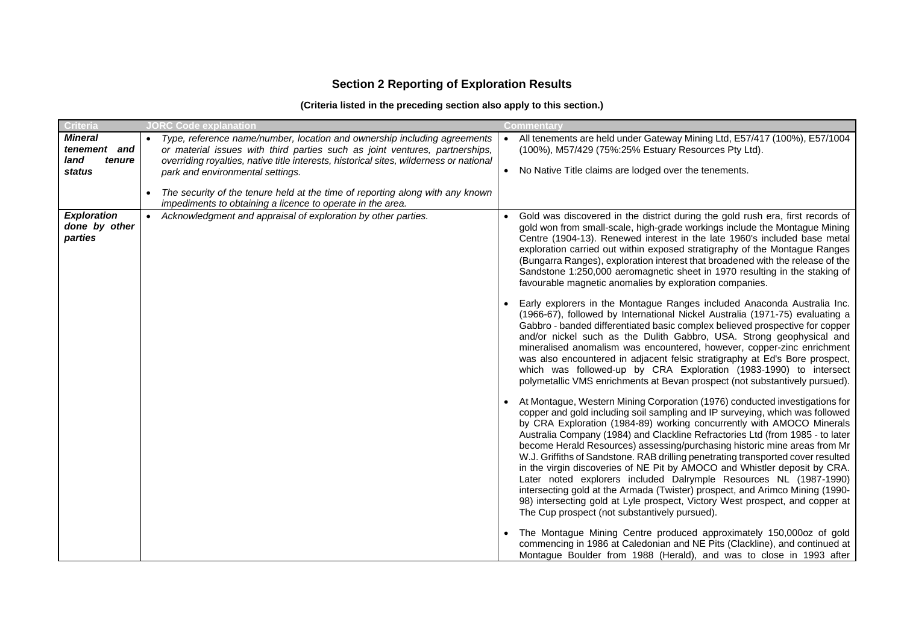# **Section 2 Reporting of Exploration Results**

### **(Criteria listed in the preceding section also apply to this section.)**

| <b>Criteria</b>                                            | <b>JORC Code explanation</b>                                                                                                                                                                                                                                                                       | <b>Commentary</b>                                                                                                                                                                                                                                                                                                                                                                                                                                                                                                                                                                                                                                                                                                                                                                                                                                           |
|------------------------------------------------------------|----------------------------------------------------------------------------------------------------------------------------------------------------------------------------------------------------------------------------------------------------------------------------------------------------|-------------------------------------------------------------------------------------------------------------------------------------------------------------------------------------------------------------------------------------------------------------------------------------------------------------------------------------------------------------------------------------------------------------------------------------------------------------------------------------------------------------------------------------------------------------------------------------------------------------------------------------------------------------------------------------------------------------------------------------------------------------------------------------------------------------------------------------------------------------|
| <b>Mineral</b><br>tenement and<br>land<br>tenure<br>status | Type, reference name/number, location and ownership including agreements<br>$\bullet$<br>or material issues with third parties such as joint ventures, partnerships,<br>overriding royalties, native title interests, historical sites, wilderness or national<br>park and environmental settings. | All tenements are held under Gateway Mining Ltd, E57/417 (100%), E57/1004<br>$\bullet$<br>(100%), M57/429 (75%:25% Estuary Resources Pty Ltd).<br>No Native Title claims are lodged over the tenements.<br>$\bullet$                                                                                                                                                                                                                                                                                                                                                                                                                                                                                                                                                                                                                                        |
|                                                            | The security of the tenure held at the time of reporting along with any known<br>impediments to obtaining a licence to operate in the area.                                                                                                                                                        |                                                                                                                                                                                                                                                                                                                                                                                                                                                                                                                                                                                                                                                                                                                                                                                                                                                             |
| <b>Exploration</b><br>done by other<br>parties             | • Acknowledgment and appraisal of exploration by other parties.                                                                                                                                                                                                                                    | Gold was discovered in the district during the gold rush era, first records of<br>gold won from small-scale, high-grade workings include the Montague Mining<br>Centre (1904-13). Renewed interest in the late 1960's included base metal<br>exploration carried out within exposed stratigraphy of the Montague Ranges<br>(Bungarra Ranges), exploration interest that broadened with the release of the<br>Sandstone 1:250,000 aeromagnetic sheet in 1970 resulting in the staking of<br>favourable magnetic anomalies by exploration companies.                                                                                                                                                                                                                                                                                                          |
|                                                            |                                                                                                                                                                                                                                                                                                    | Early explorers in the Montague Ranges included Anaconda Australia Inc.<br>(1966-67), followed by International Nickel Australia (1971-75) evaluating a<br>Gabbro - banded differentiated basic complex believed prospective for copper<br>and/or nickel such as the Dulith Gabbro, USA. Strong geophysical and<br>mineralised anomalism was encountered, however, copper-zinc enrichment<br>was also encountered in adjacent felsic stratigraphy at Ed's Bore prospect,<br>which was followed-up by CRA Exploration (1983-1990) to intersect<br>polymetallic VMS enrichments at Bevan prospect (not substantively pursued).                                                                                                                                                                                                                                |
|                                                            |                                                                                                                                                                                                                                                                                                    | • At Montague, Western Mining Corporation (1976) conducted investigations for<br>copper and gold including soil sampling and IP surveying, which was followed<br>by CRA Exploration (1984-89) working concurrently with AMOCO Minerals<br>Australia Company (1984) and Clackline Refractories Ltd (from 1985 - to later<br>become Herald Resources) assessing/purchasing historic mine areas from Mr<br>W.J. Griffiths of Sandstone. RAB drilling penetrating transported cover resulted<br>in the virgin discoveries of NE Pit by AMOCO and Whistler deposit by CRA.<br>Later noted explorers included Dalrymple Resources NL (1987-1990)<br>intersecting gold at the Armada (Twister) prospect, and Arimco Mining (1990-<br>98) intersecting gold at Lyle prospect, Victory West prospect, and copper at<br>The Cup prospect (not substantively pursued). |
|                                                            |                                                                                                                                                                                                                                                                                                    | The Montague Mining Centre produced approximately 150,000oz of gold<br>commencing in 1986 at Caledonian and NE Pits (Clackline), and continued at<br>Montague Boulder from 1988 (Herald), and was to close in 1993 after                                                                                                                                                                                                                                                                                                                                                                                                                                                                                                                                                                                                                                    |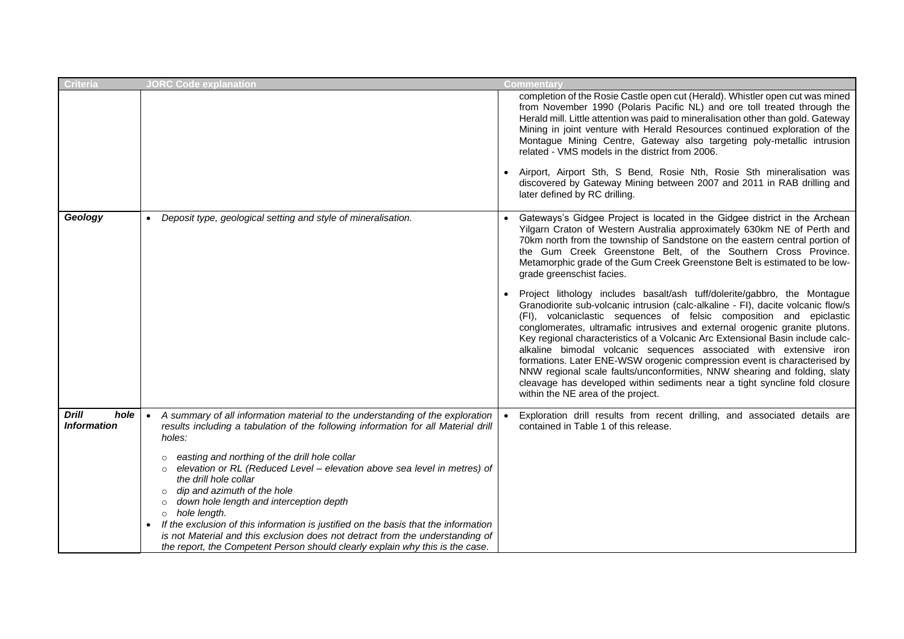| Criteria                                   | <b>JORC Code explanation</b>                                                                                                                                                                                                                                                                                                                                                                                                                                                                                                                 | <b>Commentary</b>                                                                                                                                                                                                                                                                                                                                                                                                                                                                                                                                                                                                                                                                                                                                       |
|--------------------------------------------|----------------------------------------------------------------------------------------------------------------------------------------------------------------------------------------------------------------------------------------------------------------------------------------------------------------------------------------------------------------------------------------------------------------------------------------------------------------------------------------------------------------------------------------------|---------------------------------------------------------------------------------------------------------------------------------------------------------------------------------------------------------------------------------------------------------------------------------------------------------------------------------------------------------------------------------------------------------------------------------------------------------------------------------------------------------------------------------------------------------------------------------------------------------------------------------------------------------------------------------------------------------------------------------------------------------|
|                                            |                                                                                                                                                                                                                                                                                                                                                                                                                                                                                                                                              | completion of the Rosie Castle open cut (Herald). Whistler open cut was mined<br>from November 1990 (Polaris Pacific NL) and ore toll treated through the<br>Herald mill. Little attention was paid to mineralisation other than gold. Gateway<br>Mining in joint venture with Herald Resources continued exploration of the<br>Montague Mining Centre, Gateway also targeting poly-metallic intrusion<br>related - VMS models in the district from 2006.                                                                                                                                                                                                                                                                                               |
|                                            |                                                                                                                                                                                                                                                                                                                                                                                                                                                                                                                                              | • Airport, Airport Sth, S Bend, Rosie Nth, Rosie Sth mineralisation was<br>discovered by Gateway Mining between 2007 and 2011 in RAB drilling and<br>later defined by RC drilling.                                                                                                                                                                                                                                                                                                                                                                                                                                                                                                                                                                      |
| Geology                                    | Deposit type, geological setting and style of mineralisation.<br>$\bullet$                                                                                                                                                                                                                                                                                                                                                                                                                                                                   | • Gateways's Gidgee Project is located in the Gidgee district in the Archean<br>Yilgarn Craton of Western Australia approximately 630km NE of Perth and<br>70km north from the township of Sandstone on the eastern central portion of<br>the Gum Creek Greenstone Belt, of the Southern Cross Province.<br>Metamorphic grade of the Gum Creek Greenstone Belt is estimated to be low-<br>grade greenschist facies.                                                                                                                                                                                                                                                                                                                                     |
|                                            |                                                                                                                                                                                                                                                                                                                                                                                                                                                                                                                                              | Project lithology includes basalt/ash tuff/dolerite/gabbro, the Montague<br>Granodiorite sub-volcanic intrusion (calc-alkaline - FI), dacite volcanic flow/s<br>(FI), volcaniclastic sequences of felsic composition and epiclastic<br>conglomerates, ultramafic intrusives and external orogenic granite plutons.<br>Key regional characteristics of a Volcanic Arc Extensional Basin include calc-<br>alkaline bimodal volcanic sequences associated with extensive iron<br>formations. Later ENE-WSW orogenic compression event is characterised by<br>NNW regional scale faults/unconformities, NNW shearing and folding, slaty<br>cleavage has developed within sediments near a tight syncline fold closure<br>within the NE area of the project. |
| <b>Drill</b><br>hole<br><b>Information</b> | A summary of all information material to the understanding of the exploration<br>$\bullet$<br>results including a tabulation of the following information for all Material drill<br>holes:<br>easting and northing of the drill hole collar<br>elevation or RL (Reduced Level - elevation above sea level in metres) of<br>the drill hole collar<br>dip and azimuth of the hole<br>down hole length and interception depth<br>hole length.<br>$\circ$<br>If the exclusion of this information is justified on the basis that the information | Exploration drill results from recent drilling, and associated details are<br>contained in Table 1 of this release.                                                                                                                                                                                                                                                                                                                                                                                                                                                                                                                                                                                                                                     |
|                                            | is not Material and this exclusion does not detract from the understanding of<br>the report, the Competent Person should clearly explain why this is the case.                                                                                                                                                                                                                                                                                                                                                                               |                                                                                                                                                                                                                                                                                                                                                                                                                                                                                                                                                                                                                                                                                                                                                         |